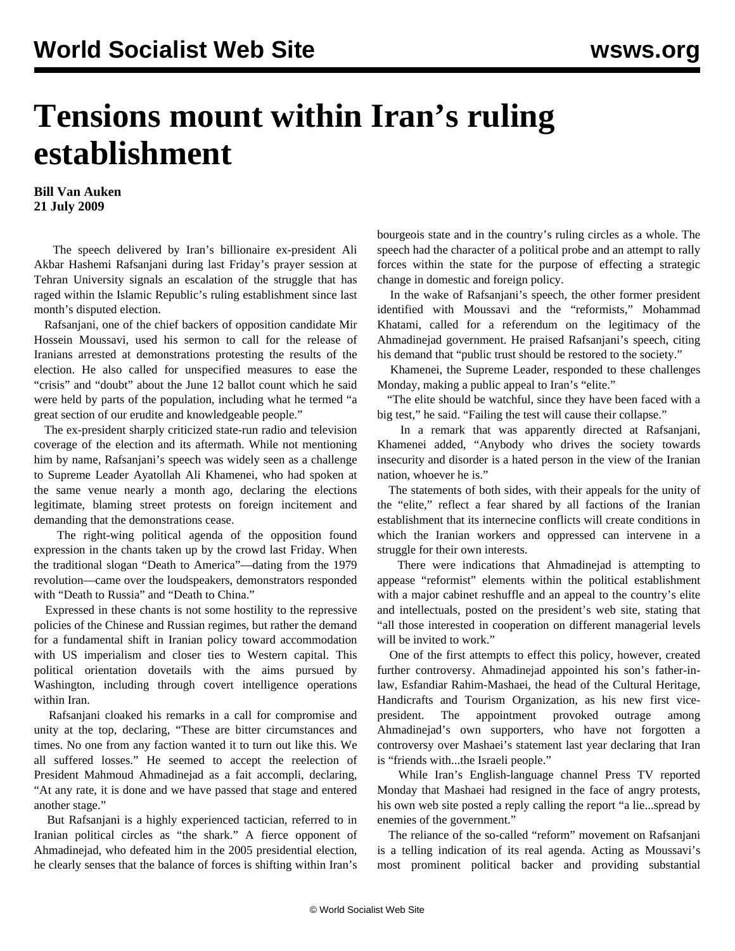## **Tensions mount within Iran's ruling establishment**

**Bill Van Auken 21 July 2009**

 The speech delivered by Iran's billionaire ex-president Ali Akbar Hashemi Rafsanjani during last Friday's prayer session at Tehran University signals an escalation of the struggle that has raged within the Islamic Republic's ruling establishment since last month's disputed election.

 Rafsanjani, one of the chief backers of opposition candidate Mir Hossein Moussavi, used his sermon to call for the release of Iranians arrested at demonstrations protesting the results of the election. He also called for unspecified measures to ease the "crisis" and "doubt" about the June 12 ballot count which he said were held by parts of the population, including what he termed "a great section of our erudite and knowledgeable people."

 The ex-president sharply criticized state-run radio and television coverage of the election and its aftermath. While not mentioning him by name, Rafsanjani's speech was widely seen as a challenge to Supreme Leader Ayatollah Ali Khamenei, who had spoken at the same venue nearly a month ago, declaring the elections legitimate, blaming street protests on foreign incitement and demanding that the demonstrations cease.

 The right-wing political agenda of the opposition found expression in the chants taken up by the crowd last Friday. When the traditional slogan "Death to America"—dating from the 1979 revolution—came over the loudspeakers, demonstrators responded with "Death to Russia" and "Death to China."

 Expressed in these chants is not some hostility to the repressive policies of the Chinese and Russian regimes, but rather the demand for a fundamental shift in Iranian policy toward accommodation with US imperialism and closer ties to Western capital. This political orientation dovetails with the aims pursued by Washington, including through covert intelligence operations within Iran.

 Rafsanjani cloaked his remarks in a call for compromise and unity at the top, declaring, "These are bitter circumstances and times. No one from any faction wanted it to turn out like this. We all suffered losses." He seemed to accept the reelection of President Mahmoud Ahmadinejad as a fait accompli, declaring, "At any rate, it is done and we have passed that stage and entered another stage."

 But Rafsanjani is a highly experienced tactician, referred to in Iranian political circles as "the shark." A fierce opponent of Ahmadinejad, who defeated him in the 2005 presidential election, he clearly senses that the balance of forces is shifting within Iran's bourgeois state and in the country's ruling circles as a whole. The speech had the character of a political probe and an attempt to rally forces within the state for the purpose of effecting a strategic change in domestic and foreign policy.

 In the wake of Rafsanjani's speech, the other former president identified with Moussavi and the "reformists," Mohammad Khatami, called for a referendum on the legitimacy of the Ahmadinejad government. He praised Rafsanjani's speech, citing his demand that "public trust should be restored to the society."

 Khamenei, the Supreme Leader, responded to these challenges Monday, making a public appeal to Iran's "elite."

 "The elite should be watchful, since they have been faced with a big test," he said. "Failing the test will cause their collapse."

 In a remark that was apparently directed at Rafsanjani, Khamenei added, "Anybody who drives the society towards insecurity and disorder is a hated person in the view of the Iranian nation, whoever he is."

 The statements of both sides, with their appeals for the unity of the "elite," reflect a fear shared by all factions of the Iranian establishment that its internecine conflicts will create conditions in which the Iranian workers and oppressed can intervene in a struggle for their own interests.

 There were indications that Ahmadinejad is attempting to appease "reformist" elements within the political establishment with a major cabinet reshuffle and an appeal to the country's elite and intellectuals, posted on the president's web site, stating that "all those interested in cooperation on different managerial levels will be invited to work."

 One of the first attempts to effect this policy, however, created further controversy. Ahmadinejad appointed his son's father-inlaw, Esfandiar Rahim-Mashaei, the head of the Cultural Heritage, Handicrafts and Tourism Organization, as his new first vicepresident. The appointment provoked outrage among Ahmadinejad's own supporters, who have not forgotten a controversy over Mashaei's statement last year declaring that Iran is "friends with...the Israeli people."

 While Iran's English-language channel Press TV reported Monday that Mashaei had resigned in the face of angry protests, his own web site posted a reply calling the report "a lie...spread by enemies of the government."

 The reliance of the so-called "reform" movement on Rafsanjani is a telling indication of its real agenda. Acting as Moussavi's most prominent political backer and providing substantial